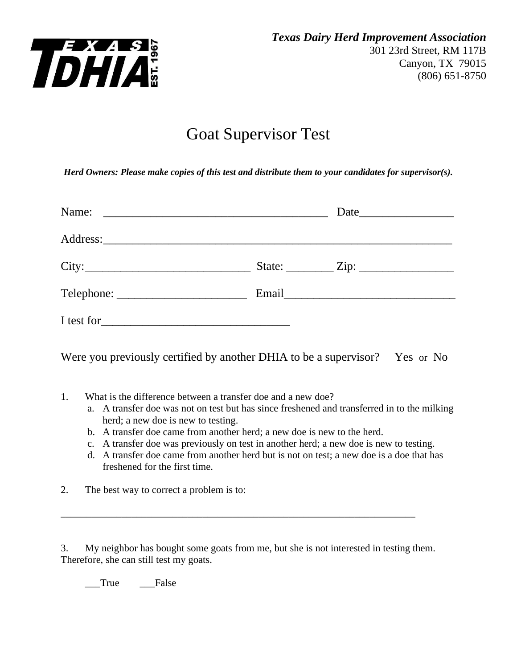

## Goat Supervisor Test

*Herd Owners: Please make copies of this test and distribute them to your candidates for supervisor(s).*

|  | State: $\angle Zip: \angle$ |
|--|-----------------------------|
|  |                             |
|  |                             |

Were you previously certified by another DHIA to be a supervisor? Yes or No

- 1. What is the difference between a transfer doe and a new doe?
	- a. A transfer doe was not on test but has since freshened and transferred in to the milking herd; a new doe is new to testing.
	- b. A transfer doe came from another herd; a new doe is new to the herd.
	- c. A transfer doe was previously on test in another herd; a new doe is new to testing.
	- d. A transfer doe came from another herd but is not on test; a new doe is a doe that has freshened for the first time.
- 2. The best way to correct a problem is to:

3. My neighbor has bought some goats from me, but she is not interested in testing them. Therefore, she can still test my goats.

\_\_\_\_\_\_\_\_\_\_\_\_\_\_\_\_\_\_\_\_\_\_\_\_\_\_\_\_\_\_\_\_\_\_\_\_\_\_\_\_\_\_\_\_\_\_\_\_\_\_\_\_\_\_\_\_\_\_\_\_\_\_\_\_\_\_\_\_\_\_

True False